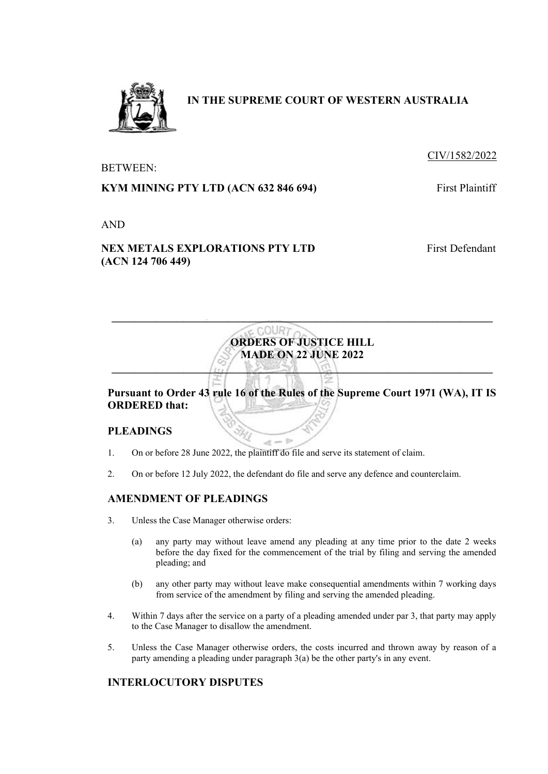

# **IN THE SUPREME COURT OF WESTERN AUSTRALIA**

### CIV/1582/2022

BETWEEN:

### **KYM MINING PTY LTD (ACN 632 846 694)** First Plaintiff

AND

## **NEX METALS EXPLORATIONS PTY LTD (ACN 124 706 449)**

First Defendant



**\_\_\_\_\_\_\_\_\_\_\_\_\_\_\_\_\_\_\_\_\_\_\_\_\_\_\_\_\_\_\_\_\_\_\_\_\_\_\_\_\_\_\_\_\_\_\_\_\_\_\_\_\_\_\_\_\_\_\_\_\_\_\_\_\_\_\_\_\_** 

### **PLEADINGS**

- $\mathcal{A}$ 1. On or before 28 June 2022, the plaintiff do file and serve its statement of claim.
- 2. On or before 12 July 2022, the defendant do file and serve any defence and counterclaim.

**Do** 

### **AMENDMENT OF PLEADINGS**

- 3. Unless the Case Manager otherwise orders:
	- (a) any party may without leave amend any pleading at any time prior to the date 2 weeks before the day fixed for the commencement of the trial by filing and serving the amended pleading; and
	- (b) any other party may without leave make consequential amendments within 7 working days from service of the amendment by filing and serving the amended pleading.
- 4. Within 7 days after the service on a party of a pleading amended under par 3, that party may apply to the Case Manager to disallow the amendment.
- 5. Unless the Case Manager otherwise orders, the costs incurred and thrown away by reason of a party amending a pleading under paragraph 3(a) be the other party's in any event.

### **INTERLOCUTORY DISPUTES**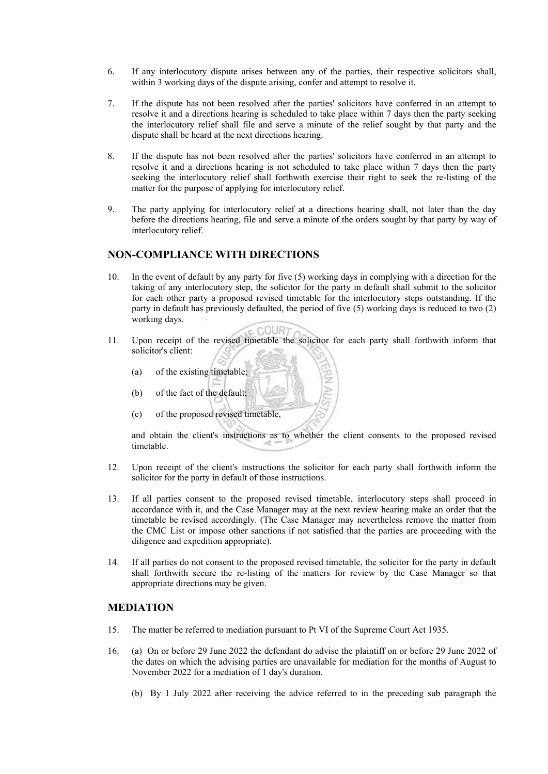- 6. If any interlocutory dispute arises between any of the parties, their respective solicitors shall, within 3 working days of the dispute arising, confer and attempt to resolve it.
- 7. If the dispute has not been resolved after the parties' solicitors have conferred in an attempt to resolve it and a directions hearing is scheduled to take place within 7 days then the party seeking the interlocutory relief shall file and serve a minute of the relief sought by that party and the dispute shall be heard at the next directions hearing.
- 8. If the dispute has not been resolved after the parties' solicitors have conferred in an attempt to resolve it and a directions hearing is not scheduled to take place within 7 days then the party seeking the interlocutory relief shall forthwith exercise their right to seek the re-listing of the matter for the purpose of applying for interlocutory relief.
- 9. The party applying for interlocutory relief at a directions hearing shall, not later than the day before the directions hearing, file and serve a minute of the orders sought by that party by way of interlocutory relief.

#### **NON-COMPLIANCE WITH DIRECTIONS**

- 10. In the event of default by any party for five (5) working days in complying with a direction for the taking of any interlocutory step, the solicitor for the party in default shall submit to the solicitor for each other party a proposed revised timetable for the interlocutory steps outstanding. If the party in default has previously defaulted, the period of five (5) working days is reduced to two (2) working days.
- $500R$ 11. Upon receipt of the revised timetable the solicitor for each party shall forthwith inform that solicitor's client:
	- (a) of the existing timetable;
	- (b) of the fact of the default;
	- (c) of the proposed revised timetable,

and obtain the client's instructions as to whether the client consents to the proposed revised timetable.

 $\Rightarrow$ 

- 12. Upon receipt of the client's instructions the solicitor for each party shall forthwith inform the solicitor for the party in default of those instructions.
- 13. If all parties consent to the proposed revised timetable, interlocutory steps shall proceed in accordance with it, and the Case Manager may at the next review hearing make an order that the timetable be revised accordingly. (The Case Manager may nevertheless remove the matter from the CMC List or impose other sanctions if not satisfied that the parties are proceeding with the diligence and expedition appropriate).
- 14. If all parties do not consent to the proposed revised timetable, the solicitor for the party in default shall forthwith secure the re-listing of the matters for review by the Case Manager so that appropriate directions may be given.

#### **MEDIATION**

- 15. The matter be referred to mediation pursuant to Pt VI of the Supreme Court Act 1935.
- 16. (a) On or before 29 June 2022 the defendant do advise the plaintiff on or before 29 June 2022 of the dates on which the advising parties are unavailable for mediation for the months of August to November 2022 for a mediation of 1 day's duration.
	- (b) By 1 July 2022 after receiving the advice referred to in the preceding sub paragraph the